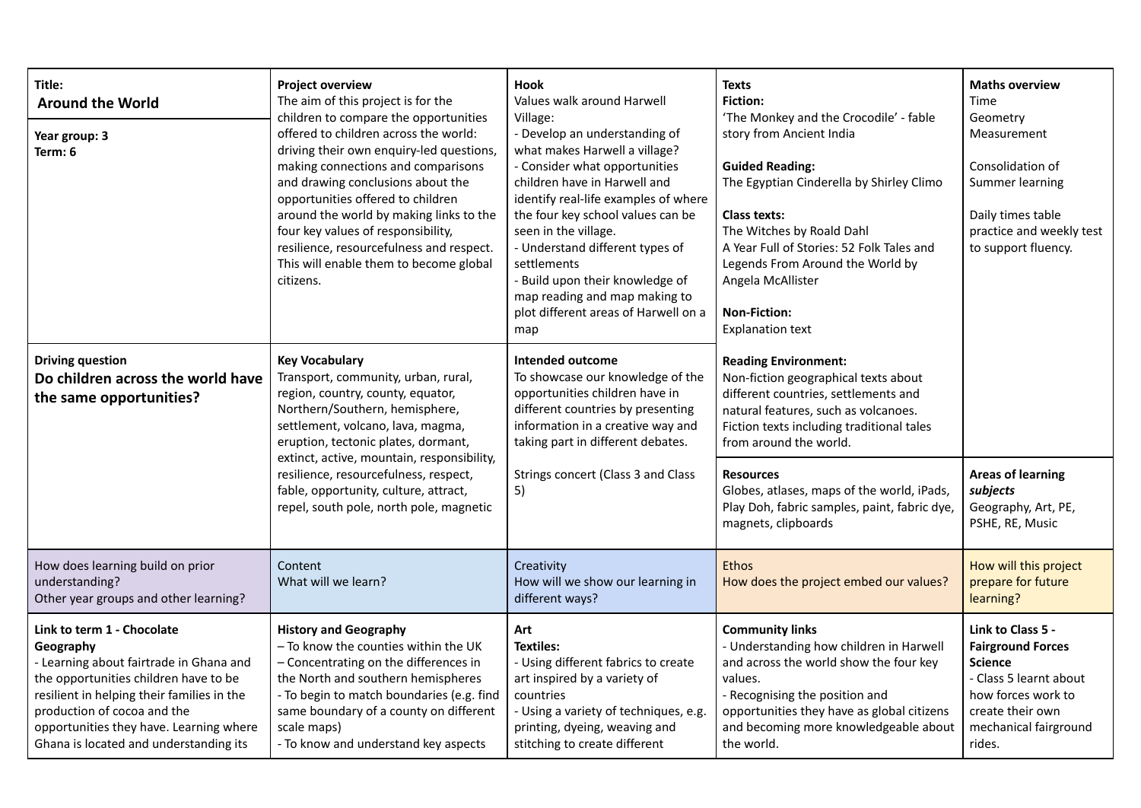| Title:<br><b>Around the World</b><br>Year group: 3<br>Term: 6                                                                                                                                                                                                                                 | <b>Project overview</b><br>The aim of this project is for the<br>children to compare the opportunities<br>offered to children across the world:<br>driving their own enquiry-led questions,<br>making connections and comparisons<br>and drawing conclusions about the<br>opportunities offered to children<br>around the world by making links to the<br>four key values of responsibility,<br>resilience, resourcefulness and respect.<br>This will enable them to become global<br>citizens. | <b>Hook</b><br>Values walk around Harwell<br>Village:<br>- Develop an understanding of<br>what makes Harwell a village?<br>- Consider what opportunities<br>children have in Harwell and<br>identify real-life examples of where<br>the four key school values can be<br>seen in the village.<br>- Understand different types of<br>settlements<br>- Build upon their knowledge of<br>map reading and map making to<br>plot different areas of Harwell on a<br>map | <b>Texts</b><br><b>Fiction:</b><br>'The Monkey and the Crocodile' - fable<br>story from Ancient India<br><b>Guided Reading:</b><br>The Egyptian Cinderella by Shirley Climo<br><b>Class texts:</b><br>The Witches by Roald Dahl<br>A Year Full of Stories: 52 Folk Tales and<br>Legends From Around the World by<br>Angela McAllister<br><b>Non-Fiction:</b><br><b>Explanation text</b> | <b>Maths overview</b><br>Time<br>Geometry<br>Measurement<br>Consolidation of<br>Summer learning<br>Daily times table<br>practice and weekly test<br>to support fluency. |
|-----------------------------------------------------------------------------------------------------------------------------------------------------------------------------------------------------------------------------------------------------------------------------------------------|-------------------------------------------------------------------------------------------------------------------------------------------------------------------------------------------------------------------------------------------------------------------------------------------------------------------------------------------------------------------------------------------------------------------------------------------------------------------------------------------------|--------------------------------------------------------------------------------------------------------------------------------------------------------------------------------------------------------------------------------------------------------------------------------------------------------------------------------------------------------------------------------------------------------------------------------------------------------------------|-----------------------------------------------------------------------------------------------------------------------------------------------------------------------------------------------------------------------------------------------------------------------------------------------------------------------------------------------------------------------------------------|-------------------------------------------------------------------------------------------------------------------------------------------------------------------------|
| <b>Driving question</b><br>Do children across the world have<br>the same opportunities?                                                                                                                                                                                                       | <b>Key Vocabulary</b><br>Transport, community, urban, rural,<br>region, country, county, equator,<br>Northern/Southern, hemisphere,<br>settlement, volcano, lava, magma,<br>eruption, tectonic plates, dormant,<br>extinct, active, mountain, responsibility,<br>resilience, resourcefulness, respect,<br>fable, opportunity, culture, attract,<br>repel, south pole, north pole, magnetic                                                                                                      | <b>Intended outcome</b><br>To showcase our knowledge of the<br>opportunities children have in<br>different countries by presenting<br>information in a creative way and<br>taking part in different debates.<br>Strings concert (Class 3 and Class<br>5)                                                                                                                                                                                                           | <b>Reading Environment:</b><br>Non-fiction geographical texts about<br>different countries, settlements and<br>natural features, such as volcanoes.<br>Fiction texts including traditional tales<br>from around the world.<br><b>Resources</b><br>Globes, atlases, maps of the world, iPads,<br>Play Doh, fabric samples, paint, fabric dye,<br>magnets, clipboards                     | <b>Areas of learning</b><br>subjects<br>Geography, Art, PE,<br>PSHE, RE, Music                                                                                          |
| How does learning build on prior<br>understanding?<br>Other year groups and other learning?                                                                                                                                                                                                   | Content<br>What will we learn?                                                                                                                                                                                                                                                                                                                                                                                                                                                                  | Creativity<br>How will we show our learning in<br>different ways?                                                                                                                                                                                                                                                                                                                                                                                                  | <b>Ethos</b><br>How does the project embed our values?                                                                                                                                                                                                                                                                                                                                  | How will this project<br>prepare for future<br>learning?                                                                                                                |
| Link to term 1 - Chocolate<br>Geography<br>- Learning about fairtrade in Ghana and<br>the opportunities children have to be<br>resilient in helping their families in the<br>production of cocoa and the<br>opportunities they have. Learning where<br>Ghana is located and understanding its | <b>History and Geography</b><br>- To know the counties within the UK<br>- Concentrating on the differences in<br>the North and southern hemispheres<br>- To begin to match boundaries (e.g. find<br>same boundary of a county on different<br>scale maps)<br>- To know and understand key aspects                                                                                                                                                                                               | Art<br><b>Textiles:</b><br>- Using different fabrics to create<br>art inspired by a variety of<br>countries<br>- Using a variety of techniques, e.g.<br>printing, dyeing, weaving and<br>stitching to create different                                                                                                                                                                                                                                             | <b>Community links</b><br>- Understanding how children in Harwell<br>and across the world show the four key<br>values.<br>- Recognising the position and<br>opportunities they have as global citizens<br>and becoming more knowledgeable about<br>the world.                                                                                                                           | Link to Class 5 -<br><b>Fairground Forces</b><br><b>Science</b><br>- Class 5 learnt about<br>how forces work to<br>create their own<br>mechanical fairground<br>rides.  |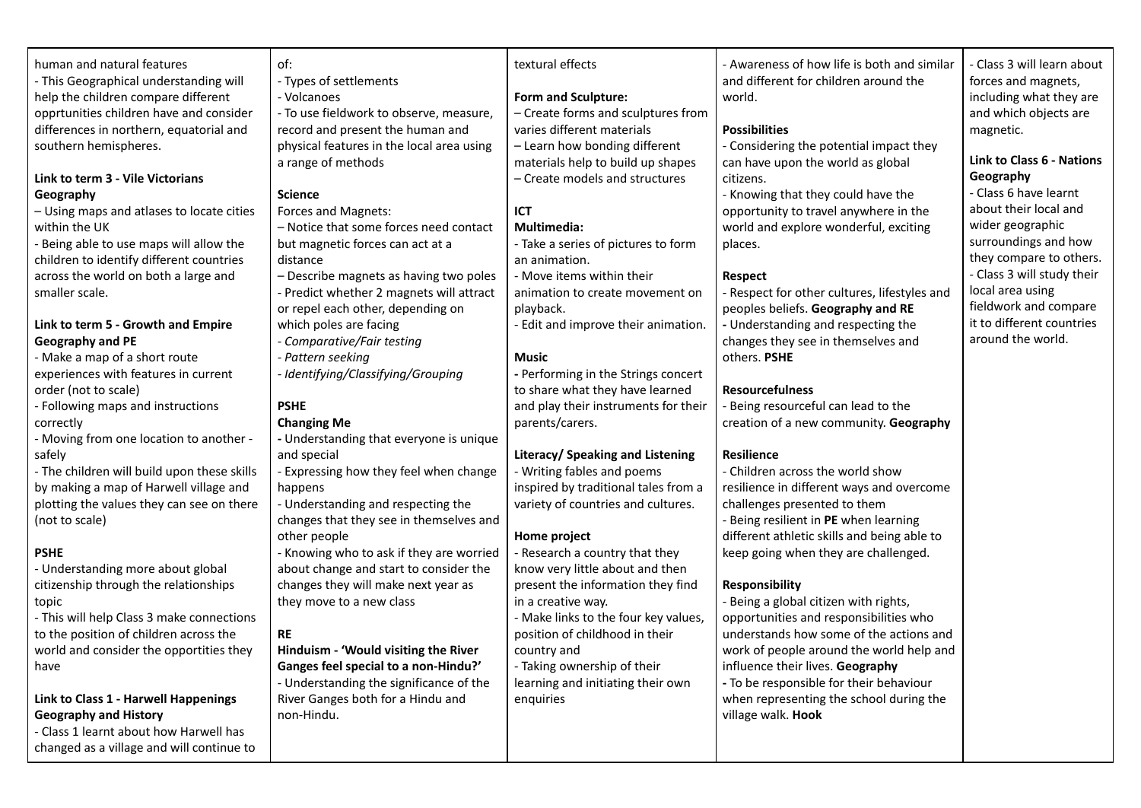| human and natural features<br>- This Geographical understanding will<br>help the children compare different<br>opprtunities children have and consider<br>differences in northern, equatorial and<br>southern hemispheres.<br>Link to term 3 - Vile Victorians<br>Geography<br>- Using maps and atlases to locate cities<br>within the UK<br>- Being able to use maps will allow the<br>children to identify different countries<br>across the world on both a large and<br>smaller scale.<br>Link to term 5 - Growth and Empire<br>Geography and PE<br>- Make a map of a short route<br>experiences with features in current<br>order (not to scale)<br>- Following maps and instructions<br>correctly<br>- Moving from one location to another -<br>safely<br>- The children will build upon these skills<br>by making a map of Harwell village and<br>plotting the values they can see on there<br>(not to scale)<br><b>PSHE</b><br>- Understanding more about global<br>citizenship through the relationships<br>topic<br>- This will help Class 3 make connections<br>to the position of children across the<br>world and consider the opportities they | of:<br>- Types of settlements<br>- Volcanoes<br>- To use fieldwork to observe, measure,<br>record and present the human and<br>physical features in the local area using<br>a range of methods<br><b>Science</b><br>Forces and Magnets:<br>- Notice that some forces need contact<br>but magnetic forces can act at a<br>distance<br>- Describe magnets as having two poles<br>- Predict whether 2 magnets will attract<br>or repel each other, depending on<br>which poles are facing<br>- Comparative/Fair testing<br>- Pattern seeking<br>- Identifying/Classifying/Grouping<br><b>PSHE</b><br><b>Changing Me</b><br>- Understanding that everyone is unique<br>and special<br>- Expressing how they feel when change<br>happens<br>- Understanding and respecting the<br>changes that they see in themselves and<br>other people<br>- Knowing who to ask if they are worried<br>about change and start to consider the<br>changes they will make next year as<br>they move to a new class<br><b>RE</b><br>Hinduism - 'Would visiting the River | textural effects<br><b>Form and Sculpture:</b><br>- Create forms and sculptures from<br>varies different materials<br>- Learn how bonding different<br>materials help to build up shapes<br>- Create models and structures<br><b>ICT</b><br><b>Multimedia:</b><br>- Take a series of pictures to form<br>an animation.<br>- Move items within their<br>animation to create movement on<br>playback.<br>- Edit and improve their animation.<br><b>Music</b><br>- Performing in the Strings concert<br>to share what they have learned<br>and play their instruments for their<br>parents/carers.<br>Literacy/ Speaking and Listening<br>- Writing fables and poems<br>inspired by traditional tales from a<br>variety of countries and cultures.<br>Home project<br>- Research a country that they<br>know very little about and then<br>present the information they find<br>in a creative way.<br>- Make links to the four key values,<br>position of childhood in their<br>country and | - Awareness of how life is both and similar<br>and different for children around the<br>world.<br><b>Possibilities</b><br>- Considering the potential impact they<br>can have upon the world as global<br>citizens.<br>- Knowing that they could have the<br>opportunity to travel anywhere in the<br>world and explore wonderful, exciting<br>places.<br><b>Respect</b><br>- Respect for other cultures, lifestyles and<br>peoples beliefs. Geography and RE<br>- Understanding and respecting the<br>changes they see in themselves and<br>others. PSHE<br><b>Resourcefulness</b><br>- Being resourceful can lead to the<br>creation of a new community. Geography<br><b>Resilience</b><br>- Children across the world show<br>resilience in different ways and overcome<br>challenges presented to them<br>- Being resilient in PE when learning<br>different athletic skills and being able to<br>keep going when they are challenged.<br><b>Responsibility</b><br>- Being a global citizen with rights,<br>opportunities and responsibilities who<br>understands how some of the actions and<br>work of people around the world help and | - Class 3 will learn about<br>forces and magnets,<br>including what they are<br>and which objects are<br>magnetic.<br><b>Link to Class 6 - Nations</b><br>Geography<br>- Class 6 have learnt<br>about their local and<br>wider geographic<br>surroundings and how<br>they compare to others.<br>- Class 3 will study their<br>local area using<br>fieldwork and compare<br>it to different countries<br>around the world. |
|--------------------------------------------------------------------------------------------------------------------------------------------------------------------------------------------------------------------------------------------------------------------------------------------------------------------------------------------------------------------------------------------------------------------------------------------------------------------------------------------------------------------------------------------------------------------------------------------------------------------------------------------------------------------------------------------------------------------------------------------------------------------------------------------------------------------------------------------------------------------------------------------------------------------------------------------------------------------------------------------------------------------------------------------------------------------------------------------------------------------------------------------------------------|----------------------------------------------------------------------------------------------------------------------------------------------------------------------------------------------------------------------------------------------------------------------------------------------------------------------------------------------------------------------------------------------------------------------------------------------------------------------------------------------------------------------------------------------------------------------------------------------------------------------------------------------------------------------------------------------------------------------------------------------------------------------------------------------------------------------------------------------------------------------------------------------------------------------------------------------------------------------------------------------------------------------------------------------------|------------------------------------------------------------------------------------------------------------------------------------------------------------------------------------------------------------------------------------------------------------------------------------------------------------------------------------------------------------------------------------------------------------------------------------------------------------------------------------------------------------------------------------------------------------------------------------------------------------------------------------------------------------------------------------------------------------------------------------------------------------------------------------------------------------------------------------------------------------------------------------------------------------------------------------------------------------------------------------------|-----------------------------------------------------------------------------------------------------------------------------------------------------------------------------------------------------------------------------------------------------------------------------------------------------------------------------------------------------------------------------------------------------------------------------------------------------------------------------------------------------------------------------------------------------------------------------------------------------------------------------------------------------------------------------------------------------------------------------------------------------------------------------------------------------------------------------------------------------------------------------------------------------------------------------------------------------------------------------------------------------------------------------------------------------------------------------------------------------------------------------------------------|---------------------------------------------------------------------------------------------------------------------------------------------------------------------------------------------------------------------------------------------------------------------------------------------------------------------------------------------------------------------------------------------------------------------------|
|                                                                                                                                                                                                                                                                                                                                                                                                                                                                                                                                                                                                                                                                                                                                                                                                                                                                                                                                                                                                                                                                                                                                                              |                                                                                                                                                                                                                                                                                                                                                                                                                                                                                                                                                                                                                                                                                                                                                                                                                                                                                                                                                                                                                                                    |                                                                                                                                                                                                                                                                                                                                                                                                                                                                                                                                                                                                                                                                                                                                                                                                                                                                                                                                                                                          |                                                                                                                                                                                                                                                                                                                                                                                                                                                                                                                                                                                                                                                                                                                                                                                                                                                                                                                                                                                                                                                                                                                                               |                                                                                                                                                                                                                                                                                                                                                                                                                           |
|                                                                                                                                                                                                                                                                                                                                                                                                                                                                                                                                                                                                                                                                                                                                                                                                                                                                                                                                                                                                                                                                                                                                                              |                                                                                                                                                                                                                                                                                                                                                                                                                                                                                                                                                                                                                                                                                                                                                                                                                                                                                                                                                                                                                                                    |                                                                                                                                                                                                                                                                                                                                                                                                                                                                                                                                                                                                                                                                                                                                                                                                                                                                                                                                                                                          |                                                                                                                                                                                                                                                                                                                                                                                                                                                                                                                                                                                                                                                                                                                                                                                                                                                                                                                                                                                                                                                                                                                                               |                                                                                                                                                                                                                                                                                                                                                                                                                           |
|                                                                                                                                                                                                                                                                                                                                                                                                                                                                                                                                                                                                                                                                                                                                                                                                                                                                                                                                                                                                                                                                                                                                                              |                                                                                                                                                                                                                                                                                                                                                                                                                                                                                                                                                                                                                                                                                                                                                                                                                                                                                                                                                                                                                                                    |                                                                                                                                                                                                                                                                                                                                                                                                                                                                                                                                                                                                                                                                                                                                                                                                                                                                                                                                                                                          |                                                                                                                                                                                                                                                                                                                                                                                                                                                                                                                                                                                                                                                                                                                                                                                                                                                                                                                                                                                                                                                                                                                                               |                                                                                                                                                                                                                                                                                                                                                                                                                           |
| have                                                                                                                                                                                                                                                                                                                                                                                                                                                                                                                                                                                                                                                                                                                                                                                                                                                                                                                                                                                                                                                                                                                                                         | Ganges feel special to a non-Hindu?'                                                                                                                                                                                                                                                                                                                                                                                                                                                                                                                                                                                                                                                                                                                                                                                                                                                                                                                                                                                                               | - Taking ownership of their                                                                                                                                                                                                                                                                                                                                                                                                                                                                                                                                                                                                                                                                                                                                                                                                                                                                                                                                                              | influence their lives. Geography                                                                                                                                                                                                                                                                                                                                                                                                                                                                                                                                                                                                                                                                                                                                                                                                                                                                                                                                                                                                                                                                                                              |                                                                                                                                                                                                                                                                                                                                                                                                                           |
|                                                                                                                                                                                                                                                                                                                                                                                                                                                                                                                                                                                                                                                                                                                                                                                                                                                                                                                                                                                                                                                                                                                                                              | - Understanding the significance of the                                                                                                                                                                                                                                                                                                                                                                                                                                                                                                                                                                                                                                                                                                                                                                                                                                                                                                                                                                                                            | learning and initiating their own                                                                                                                                                                                                                                                                                                                                                                                                                                                                                                                                                                                                                                                                                                                                                                                                                                                                                                                                                        | - To be responsible for their behaviour                                                                                                                                                                                                                                                                                                                                                                                                                                                                                                                                                                                                                                                                                                                                                                                                                                                                                                                                                                                                                                                                                                       |                                                                                                                                                                                                                                                                                                                                                                                                                           |
| Link to Class 1 - Harwell Happenings                                                                                                                                                                                                                                                                                                                                                                                                                                                                                                                                                                                                                                                                                                                                                                                                                                                                                                                                                                                                                                                                                                                         | River Ganges both for a Hindu and                                                                                                                                                                                                                                                                                                                                                                                                                                                                                                                                                                                                                                                                                                                                                                                                                                                                                                                                                                                                                  | enquiries                                                                                                                                                                                                                                                                                                                                                                                                                                                                                                                                                                                                                                                                                                                                                                                                                                                                                                                                                                                | when representing the school during the                                                                                                                                                                                                                                                                                                                                                                                                                                                                                                                                                                                                                                                                                                                                                                                                                                                                                                                                                                                                                                                                                                       |                                                                                                                                                                                                                                                                                                                                                                                                                           |
| <b>Geography and History</b>                                                                                                                                                                                                                                                                                                                                                                                                                                                                                                                                                                                                                                                                                                                                                                                                                                                                                                                                                                                                                                                                                                                                 | non-Hindu.                                                                                                                                                                                                                                                                                                                                                                                                                                                                                                                                                                                                                                                                                                                                                                                                                                                                                                                                                                                                                                         |                                                                                                                                                                                                                                                                                                                                                                                                                                                                                                                                                                                                                                                                                                                                                                                                                                                                                                                                                                                          | village walk. Hook                                                                                                                                                                                                                                                                                                                                                                                                                                                                                                                                                                                                                                                                                                                                                                                                                                                                                                                                                                                                                                                                                                                            |                                                                                                                                                                                                                                                                                                                                                                                                                           |
| - Class 1 learnt about how Harwell has                                                                                                                                                                                                                                                                                                                                                                                                                                                                                                                                                                                                                                                                                                                                                                                                                                                                                                                                                                                                                                                                                                                       |                                                                                                                                                                                                                                                                                                                                                                                                                                                                                                                                                                                                                                                                                                                                                                                                                                                                                                                                                                                                                                                    |                                                                                                                                                                                                                                                                                                                                                                                                                                                                                                                                                                                                                                                                                                                                                                                                                                                                                                                                                                                          |                                                                                                                                                                                                                                                                                                                                                                                                                                                                                                                                                                                                                                                                                                                                                                                                                                                                                                                                                                                                                                                                                                                                               |                                                                                                                                                                                                                                                                                                                                                                                                                           |
|                                                                                                                                                                                                                                                                                                                                                                                                                                                                                                                                                                                                                                                                                                                                                                                                                                                                                                                                                                                                                                                                                                                                                              |                                                                                                                                                                                                                                                                                                                                                                                                                                                                                                                                                                                                                                                                                                                                                                                                                                                                                                                                                                                                                                                    |                                                                                                                                                                                                                                                                                                                                                                                                                                                                                                                                                                                                                                                                                                                                                                                                                                                                                                                                                                                          |                                                                                                                                                                                                                                                                                                                                                                                                                                                                                                                                                                                                                                                                                                                                                                                                                                                                                                                                                                                                                                                                                                                                               |                                                                                                                                                                                                                                                                                                                                                                                                                           |
| changed as a village and will continue to                                                                                                                                                                                                                                                                                                                                                                                                                                                                                                                                                                                                                                                                                                                                                                                                                                                                                                                                                                                                                                                                                                                    |                                                                                                                                                                                                                                                                                                                                                                                                                                                                                                                                                                                                                                                                                                                                                                                                                                                                                                                                                                                                                                                    |                                                                                                                                                                                                                                                                                                                                                                                                                                                                                                                                                                                                                                                                                                                                                                                                                                                                                                                                                                                          |                                                                                                                                                                                                                                                                                                                                                                                                                                                                                                                                                                                                                                                                                                                                                                                                                                                                                                                                                                                                                                                                                                                                               |                                                                                                                                                                                                                                                                                                                                                                                                                           |